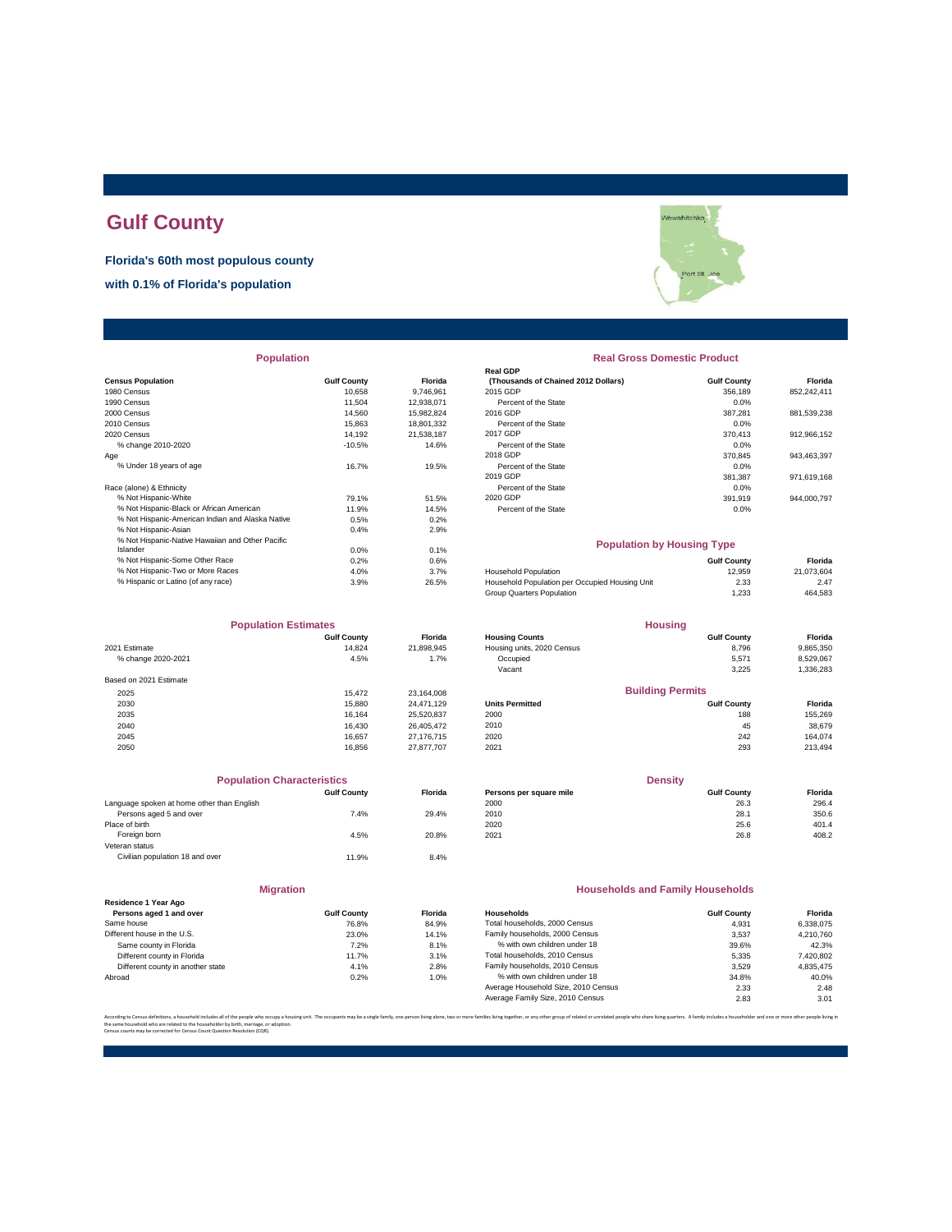### **Gulf County**

**Florida's 60th most populous county**

**with 0.1% of Florida's population**

|                                                  |                    |            | Real GDP                                       |                    |             |
|--------------------------------------------------|--------------------|------------|------------------------------------------------|--------------------|-------------|
| <b>Census Population</b>                         | <b>Gulf County</b> | Florida    | (Thousands of Chained 2012 Dollars)            | <b>Gulf County</b> | Florida     |
| 1980 Census                                      | 10.658             | 9,746,961  | 2015 GDP                                       | 356,189            | 852,242,411 |
| 1990 Census                                      | 11.504             | 12,938,071 | Percent of the State                           | 0.0%               |             |
| 2000 Census                                      | 14.560             | 15,982,824 | 2016 GDP                                       | 387,281            | 881,539,238 |
| 2010 Census                                      | 15.863             | 18,801,332 | Percent of the State                           | 0.0%               |             |
| 2020 Census                                      | 14.192             | 21.538.187 | 2017 GDP                                       | 370.413            | 912,966,152 |
| % change 2010-2020                               | $-10.5%$           | 14.6%      | Percent of the State                           | 0.0%               |             |
| Age                                              |                    |            | 2018 GDP                                       | 370,845            | 943,463,397 |
| % Under 18 years of age                          | 16.7%              | 19.5%      | Percent of the State                           | 0.0%               |             |
|                                                  |                    |            | 2019 GDP                                       | 381,387            | 971,619,168 |
| Race (alone) & Ethnicity                         |                    |            | Percent of the State                           | 0.0%               |             |
| % Not Hispanic-White                             | 79.1%              | 51.5%      | 2020 GDP                                       | 391,919            | 944,000,797 |
| % Not Hispanic-Black or African American         | 11.9%              | 14.5%      | Percent of the State                           | 0.0%               |             |
| % Not Hispanic-American Indian and Alaska Native | 0.5%               | 0.2%       |                                                |                    |             |
| % Not Hispanic-Asian                             | 0.4%               | 2.9%       |                                                |                    |             |
| % Not Hispanic-Native Hawaiian and Other Pacific |                    |            | <b>Population by Housing Type</b>              |                    |             |
| Islander                                         | 0.0%               | 0.1%       |                                                |                    |             |
| % Not Hispanic-Some Other Race                   | 0.2%               | 0.6%       |                                                | <b>Gulf County</b> | Florida     |
| % Not Hispanic-Two or More Races                 | 4.0%               | 3.7%       | <b>Household Population</b>                    | 12,959             | 21,073,604  |
| % Hispanic or Latino (of any race)               | 3.9%               | 26.5%      | Household Population per Occupied Housing Unit | 2.33               | 2.47        |
|                                                  |                    |            |                                                |                    |             |

| <b>Population Estimates</b> |                    | <b>Housing</b> |                            |                         |           |
|-----------------------------|--------------------|----------------|----------------------------|-------------------------|-----------|
|                             | <b>Gulf County</b> | <b>Florida</b> | <b>Housing Counts</b>      | <b>Gulf County</b>      | Florida   |
| 2021 Estimate               | 14.824             | 21,898,945     | Housing units, 2020 Census | 8,796                   | 9,865,350 |
| % change 2020-2021          | 4.5%               | 1.7%           | Occupied                   | 5,571                   | 8,529,067 |
|                             |                    |                | Vacant                     | 3,225                   | 1,336,283 |
| Based on 2021 Estimate      |                    |                |                            |                         |           |
| 2025                        | 15.472             | 23,164,008     |                            | <b>Building Permits</b> |           |
| 2030                        | 15,880             | 24.471.129     | <b>Units Permitted</b>     | <b>Gulf County</b>      | Florida   |
| 2035                        | 16.164             | 25,520,837     | 2000                       | 188                     | 155,269   |
| 2040                        | 16.430             | 26,405,472     | 2010                       | 45                      | 38,679    |
| 2045                        | 16.657             | 27,176,715     | 2020                       | 242                     | 164.074   |
| 2050                        | 16.856             | 27,877,707     | 2021                       | 293                     | 213,494   |

|                                            | <b>Population Characteristics</b> |                |
|--------------------------------------------|-----------------------------------|----------------|
|                                            | <b>Gulf County</b>                | <b>Florida</b> |
| Language spoken at home other than English |                                   |                |
| Persons aged 5 and over                    | 7.4%                              | 29.4%          |
| Place of birth                             |                                   |                |
| Foreign born                               | 4.5%                              | 20.8%          |
| Veteran status                             |                                   |                |
| Civilian population 18 and over            | 11.9%                             | 8.4%           |
|                                            |                                   |                |

|                                                 | <b>Migration</b>   |               |
|-------------------------------------------------|--------------------|---------------|
| Residence 1 Year Ago<br>Persons aged 1 and over | <b>Gulf County</b> | <b>Florid</b> |
| Same house                                      | 76.8%              | 84.9          |
| Different house in the U.S.                     | 23.0%              | 14.1          |
| Same county in Florida                          | 7.2%               | 8.1           |
| Different county in Florida                     | 11.7%              | 3.1           |
| Different county in another state               | 4.1%               | 2.8           |
| Abroad                                          | 0.2%               | 1.0           |

## .<br>Vewahitchka Port St

# **Real GDP** Percent of the State 0.0% **Population Real Gross Domestic Product**

#### **Population by Housing Type**

| % Not Hispanic-Some Other Race     | 0.2% | 0.6%  |                                                | <b>Gulf County</b> | Florida    |
|------------------------------------|------|-------|------------------------------------------------|--------------------|------------|
| % Not Hispanic-Two or More Races   | 4.0% | 3.7%  | <b>Household Population</b>                    | 12.959             | 21.073.604 |
| % Hispanic or Latino (of any race) | 3.9% | 26.5% | Household Population per Occupied Housing Unit | 2.33               | 2.47       |
|                                    |      |       | Group Quarters Population                      | .233               | 464,583    |
|                                    |      |       |                                                |                    |            |

| <b>Population Estimates</b> |                    |                | <b>Housing</b>             |                         |           |
|-----------------------------|--------------------|----------------|----------------------------|-------------------------|-----------|
|                             | <b>Gulf County</b> | <b>Florida</b> | <b>Housing Counts</b>      | <b>Gulf County</b>      | Florida   |
| 2021 Estimate               | 14.824             | 21,898,945     | Housing units, 2020 Census | 8.796                   | 9,865,350 |
| % change 2020-2021          | 4.5%               | 1.7%           | Occupied                   | 5.571                   | 8.529.067 |
|                             |                    |                | Vacant                     | 3.225                   | 1,336,283 |
| Based on 2021 Estimate      |                    |                |                            |                         |           |
| 2025                        | 15.472             | 23.164.008     |                            | <b>Building Permits</b> |           |
| 2030                        | 15,880             | 24.471.129     | <b>Units Permitted</b>     | <b>Gulf County</b>      | Florida   |
| 2035                        | 16.164             | 25.520.837     | 2000                       | 188                     | 155.269   |
| 2040                        | 16.430             | 26,405,472     | 2010                       | 45                      | 38.679    |

| <b>Population Characteristics</b>          |                    |                | <b>Density</b>          |                    |         |
|--------------------------------------------|--------------------|----------------|-------------------------|--------------------|---------|
|                                            | <b>Gulf County</b> | <b>Florida</b> | Persons per square mile | <b>Gulf County</b> | Florida |
| Language spoken at home other than English |                    |                | 2000                    | 26.3               | 296.4   |
| Persons aged 5 and over                    | 7.4%               | 29.4%          | 2010                    | 28.1               | 350.6   |
| Place of birth                             |                    |                | 2020                    | 25.6               | 401.4   |
| Foreign born                               | 4.5%               | 20.8%          | 2021                    | 26.8               | 408.2   |

#### **Households and Family Households**

| Residence 1 Year Ago              |                    |                |                                     |                    |           |
|-----------------------------------|--------------------|----------------|-------------------------------------|--------------------|-----------|
| Persons aged 1 and over           | <b>Gulf County</b> | <b>Florida</b> | Households                          | <b>Gulf County</b> | Florida   |
| Same house                        | 76.8%              | 84.9%          | Total households, 2000 Census       | 4.931              | 6.338.075 |
| Different house in the U.S.       | 23.0%              | 14.1%          | Family households, 2000 Census      | 3.537              | 4.210.760 |
| Same county in Florida            | 7.2%               | 8.1%           | % with own children under 18        | 39.6%              | 42.3%     |
| Different county in Florida       | 11.7%              | 3.1%           | Total households, 2010 Census       | 5.335              | 7,420,802 |
| Different county in another state | 4.1%               | 2.8%           | Family households, 2010 Census      | 3.529              | 4.835.475 |
| Abroad                            | 0.2%               | 1.0%           | % with own children under 18        | 34.8%              | 40.0%     |
|                                   |                    |                | Average Household Size, 2010 Census | 2.33               | 2.48      |
|                                   |                    |                | Average Family Size, 2010 Census    | 2.83               | 3.01      |
|                                   |                    |                |                                     |                    |           |

ther or any other group of related or uprelated people who share living quarters. A family includes a bousebolder and one or the same household who are related to the householder by birth, marriage, or adoption. Census counts may be corrected for Census Count Question Resolution (CQR).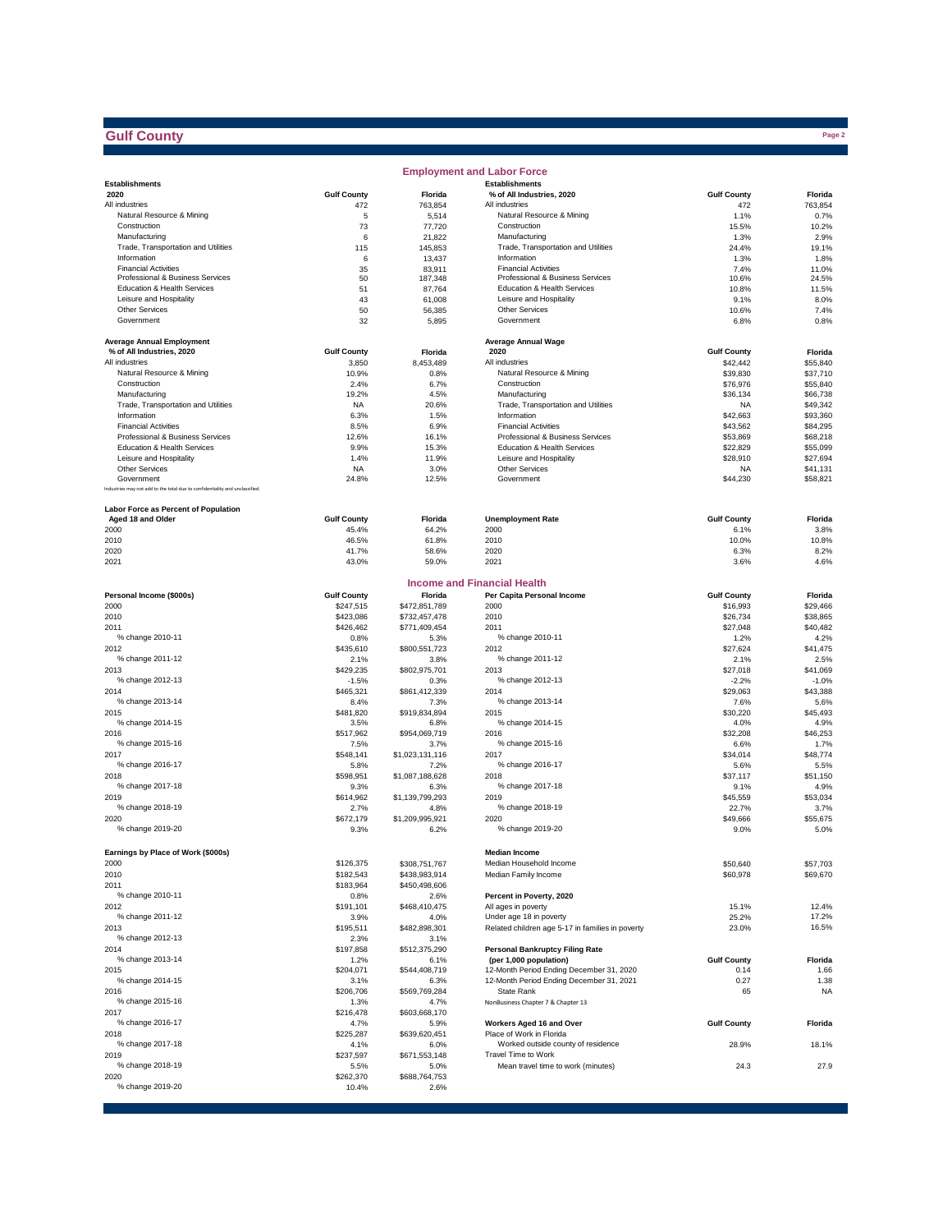#### **Gulf County**

|                                                                              |                      |                         | <b>Employment and Labor Force</b>                                |                       |                      |
|------------------------------------------------------------------------------|----------------------|-------------------------|------------------------------------------------------------------|-----------------------|----------------------|
| <b>Establishments</b>                                                        |                      |                         | <b>Establishments</b>                                            |                       |                      |
| 2020                                                                         | <b>Gulf County</b>   | Florida                 | % of All Industries, 2020                                        | <b>Gulf County</b>    | Florida              |
| All industries<br>Natural Resource & Mining                                  | 472<br>5             | 763,854                 | All industries<br>Natural Resource & Mining                      | 472                   | 763,854<br>0.7%      |
| Construction                                                                 | 73                   | 5,514<br>77,720         | Construction                                                     | 1.1%<br>15.5%         | 10.2%                |
| Manufacturing                                                                | 6                    | 21,822                  | Manufacturing                                                    | 1.3%                  | 2.9%                 |
| Trade, Transportation and Utilities                                          | 115                  | 145,853                 | Trade, Transportation and Utilities                              | 24.4%                 | 19.1%                |
| Information                                                                  | 6                    | 13,437                  | Information                                                      | 1.3%                  | 1.8%                 |
| <b>Financial Activities</b>                                                  | 35                   | 83,911                  | <b>Financial Activities</b>                                      | 7.4%                  | 11.0%                |
| Professional & Business Services<br>Education & Health Services              | 50<br>51             | 187,348                 | Professional & Business Services<br>Education & Health Services  | 10.6%<br>10.8%        | 24.5%<br>11.5%       |
| Leisure and Hospitality                                                      | 43                   | 87,764<br>61,008        | Leisure and Hospitality                                          | 9.1%                  | 8.0%                 |
| <b>Other Services</b>                                                        | 50                   | 56,385                  | <b>Other Services</b>                                            | 10.6%                 | 7.4%                 |
| Government                                                                   | 32                   | 5,895                   | Government                                                       | 6.8%                  | 0.8%                 |
|                                                                              |                      |                         |                                                                  |                       |                      |
| <b>Average Annual Employment</b>                                             |                      |                         | <b>Average Annual Wage</b>                                       |                       |                      |
| % of All Industries, 2020                                                    | <b>Gulf County</b>   | Florida                 | 2020                                                             | <b>Gulf County</b>    | Florida              |
| All industries<br>Natural Resource & Mining                                  | 3,850                | 8,453,489               | All industries                                                   | \$42,442              | \$55,840<br>\$37.710 |
| Construction                                                                 | 10.9%<br>2.4%        | 0.8%<br>6.7%            | Natural Resource & Mining<br>Construction                        | \$39,830<br>\$76,976  | \$55,840             |
| Manufacturing                                                                | 19.2%                | 4.5%                    | Manufacturing                                                    | \$36,134              | \$66,738             |
| Trade, Transportation and Utilities                                          | NA                   | 20.6%                   | Trade, Transportation and Utilities                              | <b>NA</b>             | \$49,342             |
| Information                                                                  | 6.3%                 | 1.5%                    | Information                                                      | \$42,663              | \$93,360             |
| <b>Financial Activities</b>                                                  | 8.5%                 | 6.9%                    | <b>Financial Activities</b>                                      | \$43,562              | \$84,295             |
| Professional & Business Services                                             | 12.6%                | 16.1%                   | Professional & Business Services                                 | \$53,869              | \$68,218             |
| Education & Health Services                                                  | 9.9%                 | 15.3%                   | Education & Health Services                                      | \$22,829              | \$55,099             |
| Leisure and Hospitality                                                      | 1.4%                 | 11.9%                   | Leisure and Hospitality                                          | \$28,910              | \$27,694             |
| <b>Other Services</b><br>Government                                          | NA<br>24.8%          | 3.0%<br>12.5%           | <b>Other Services</b><br>Government                              | <b>NA</b><br>\$44,230 | \$41,131<br>\$58,821 |
| Industries may not add to the total due to confidentiality and unclassified. |                      |                         |                                                                  |                       |                      |
|                                                                              |                      |                         |                                                                  |                       |                      |
| Labor Force as Percent of Population                                         |                      |                         |                                                                  |                       |                      |
| Aged 18 and Older                                                            | <b>Gulf County</b>   | Florida                 | <b>Unemployment Rate</b>                                         | <b>Gulf County</b>    | Florida              |
| 2000                                                                         | 45.4%                | 64.2%                   | 2000                                                             | 6.1%                  | 3.8%                 |
| 2010                                                                         | 46.5%                | 61.8%                   | 2010                                                             | 10.0%                 | 10.8%                |
| 2020<br>2021                                                                 | 41.7%<br>43.0%       | 58.6%<br>59.0%          | 2020<br>2021                                                     | 6.3%<br>3.6%          | 8.2%<br>4.6%         |
|                                                                              |                      |                         |                                                                  |                       |                      |
|                                                                              |                      |                         | <b>Income and Financial Health</b>                               |                       |                      |
| Personal Income (\$000s)                                                     | <b>Gulf County</b>   | Florida                 | Per Capita Personal Income                                       | <b>Gulf County</b>    | Florida              |
| 2000                                                                         | \$247,515            | \$472,851,789           | 2000                                                             | \$16,993              | \$29,466             |
| 2010                                                                         | \$423,086            | \$732,457,478           | 2010                                                             | \$26,734              | \$38,865             |
| 2011                                                                         | \$426,462            | \$771,409,454           | 2011                                                             | \$27,048              | \$40,482             |
| % change 2010-11                                                             | 0.8%                 | 5.3%                    | % change 2010-11                                                 | 1.2%                  | 4.2%                 |
| 2012                                                                         | \$435,610            | \$800,551,723           | 2012                                                             | \$27,624              | \$41,475             |
| % change 2011-12                                                             | 2.1%                 | 3.8%                    | % change 2011-12                                                 | 2.1%                  | 2.5%                 |
| 2013                                                                         | \$429,235            | \$802,975,701           | 2013                                                             | \$27,018              | \$41,069             |
| % change 2012-13<br>2014                                                     | $-1.5%$<br>\$465,321 | 0.3%<br>\$861,412,339   | % change 2012-13<br>2014                                         | $-2.2%$<br>\$29,063   | $-1.0%$<br>\$43,388  |
| % change 2013-14                                                             | 8.4%                 | 7.3%                    | % change 2013-14                                                 | 7.6%                  | 5.6%                 |
| 2015                                                                         | \$481,820            | \$919,834,894           | 2015                                                             | \$30,220              | \$45,493             |
| % change 2014-15                                                             | 3.5%                 | 6.8%                    | % change 2014-15                                                 | 4.0%                  | 4.9%                 |
| 2016                                                                         | \$517,962            | \$954,069,719           | 2016                                                             | \$32,208              | \$46,253             |
| % change 2015-16                                                             | 7.5%                 | 3.7%                    | % change 2015-16                                                 | 6.6%                  | 1.7%                 |
| 2017                                                                         | \$548,141            | \$1,023,131,116         | 2017                                                             | \$34,014              | \$48,774             |
| % change 2016-17                                                             | 5.8%                 | 7.2%                    | % change 2016-17                                                 | 5.6%                  | 5.5%                 |
| 2018                                                                         | \$598,951            | \$1,087,188,628         | 2018                                                             | \$37,117              | \$51.150             |
| % change 2017-18                                                             | 9.3%                 | 6.3%                    | % change 2017-18                                                 | 9.1%                  | 4.9%                 |
| 2019<br>% change 2018-19                                                     | \$614,962<br>2.7%    | \$1,139,799,293         | 2019<br>% change 2018-19                                         | \$45,559              | \$53,034             |
| 2020                                                                         | \$672,179            | 4.8%<br>\$1,209,995,921 | 2020                                                             | 22.7%<br>\$49,666     | 3.7%<br>\$55,675     |
| % change 2019-20                                                             | 9.3%                 | 6.2%                    | % change 2019-20                                                 | 9.0%                  | 5.0%                 |
|                                                                              |                      |                         |                                                                  |                       |                      |
| Earnings by Place of Work (\$000s)                                           |                      |                         | <b>Median Income</b>                                             |                       |                      |
| 2000                                                                         | \$126,375            | \$308,751,767           | Median Household Income                                          | \$50,640              | \$57,703             |
| 2010                                                                         | \$182,543            | \$438,983,914           | Median Family Income                                             | \$60,978              | \$69,670             |
| 2011                                                                         | \$183,964            | \$450,498,606           |                                                                  |                       |                      |
| % change 2010-11                                                             | 0.8%                 | 2.6%                    | Percent in Poverty, 2020                                         |                       |                      |
| 2012                                                                         | \$191,101            | \$468,410,475           | All ages in poverty                                              | 15.1%                 | 12.4%                |
| % change 2011-12                                                             | 3.9%                 | 4.0%                    | Under age 18 in poverty                                          | 25.2%                 | 17.2%                |
| 2013<br>% change 2012-13                                                     | \$195,511            | \$482,898,301           | Related children age 5-17 in families in poverty                 | 23.0%                 | 16.5%                |
| 2014                                                                         | 2.3%                 | 3.1%                    |                                                                  |                       |                      |
| % change 2013-14                                                             | \$197,858<br>1.2%    | \$512,375,290<br>6.1%   | <b>Personal Bankruptcy Filing Rate</b><br>(per 1,000 population) | <b>Gulf County</b>    | Florida              |
| 2015                                                                         | \$204,071            | \$544,408,719           | 12-Month Period Ending December 31, 2020                         | 0.14                  | 1.66                 |
| % change 2014-15                                                             | 3.1%                 | 6.3%                    | 12-Month Period Ending December 31, 2021                         | 0.27                  | 1.38                 |
| 2016                                                                         | \$206,706            | \$569,769,284           | State Rank                                                       | 65                    | <b>NA</b>            |
| % change 2015-16                                                             | 1.3%                 | 4.7%                    | NonBusiness Chapter 7 & Chapter 13                               |                       |                      |
| 2017                                                                         | \$216,478            | \$603,668,170           |                                                                  |                       |                      |
| % change 2016-17                                                             | 4.7%                 | 5.9%                    | Workers Aged 16 and Over                                         | <b>Gulf County</b>    | Florida              |
| 2018                                                                         | \$225,287            | \$639,620,451           | Place of Work in Florida                                         |                       |                      |
| % change 2017-18                                                             | 4.1%                 | 6.0%                    | Worked outside county of residence                               | 28.9%                 | 18.1%                |
| 2019<br>% change 2018-19                                                     | \$237,597            | \$671,553,148           | Travel Time to Work                                              |                       |                      |
| 2020                                                                         | 5.5%<br>\$262,370    | 5.0%<br>\$688,764,753   | Mean travel time to work (minutes)                               | 24.3                  | 27.9                 |
| % change 2019-20                                                             | 10.4%                | 2.6%                    |                                                                  |                       |                      |